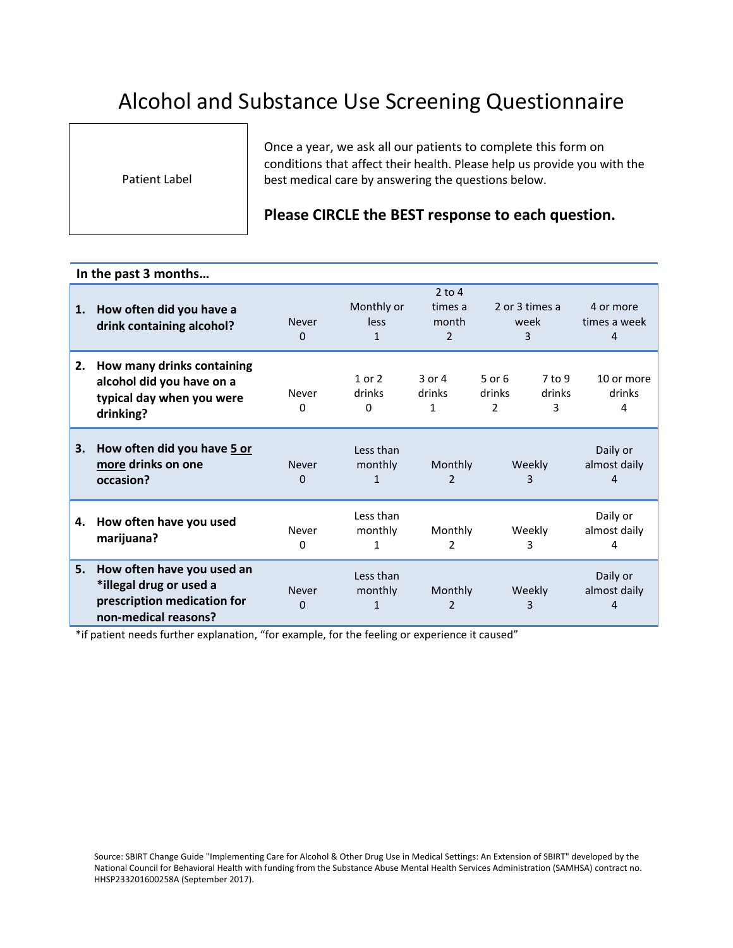## Alcohol and Substance Use Screening Questionnaire

Patient Label

Once a year, we ask all our patients to complete this form on conditions that affect their health. Please help us provide you with the best medical care by answering the questions below.

## **Please CIRCLE the BEST response to each question.**

## **In the past 3 months…**

| 1. | How often did you have a                                                                                     | $2$ to 4<br>Monthly or<br>2 or 3 times a<br>times a<br>4 or more |                                  |                           |                           |                         |                               |
|----|--------------------------------------------------------------------------------------------------------------|------------------------------------------------------------------|----------------------------------|---------------------------|---------------------------|-------------------------|-------------------------------|
|    | drink containing alcohol?                                                                                    | <b>Never</b>                                                     | less                             | month                     | week                      |                         | times a week                  |
|    |                                                                                                              | 0                                                                | 1                                | 2                         | 3                         |                         | 4                             |
| 2. | How many drinks containing<br>alcohol did you have on a<br>typical day when you were<br>drinking?            | Never<br>0                                                       | $1$ or $2$<br>drinks<br>$\Omega$ | $3$ or $4$<br>drinks<br>1 | $5$ or $6$<br>drinks<br>2 | $7$ to 9<br>drinks<br>3 | 10 or more<br>drinks<br>4     |
| 3. | How often did you have 5 or<br>more drinks on one<br>occasion?                                               | Never<br>$\Omega$                                                | Less than<br>monthly<br>1        | Monthly<br>$\mathcal{P}$  |                           | Weekly<br>3             | Daily or<br>almost daily<br>4 |
| 4. | How often have you used<br>marijuana?                                                                        | Never<br>0                                                       | Less than<br>monthly             | Monthly<br>2              |                           | Weekly<br>3             | Daily or<br>almost daily<br>4 |
| 5. | How often have you used an<br>*illegal drug or used a<br>prescription medication for<br>non-medical reasons? | <b>Never</b><br>$\Omega$                                         | Less than<br>monthly<br>1        | Monthly<br>2              |                           | Weekly<br>3             | Daily or<br>almost daily<br>4 |

\*if patient needs further explanation, "for example, for the feeling or experience it caused"